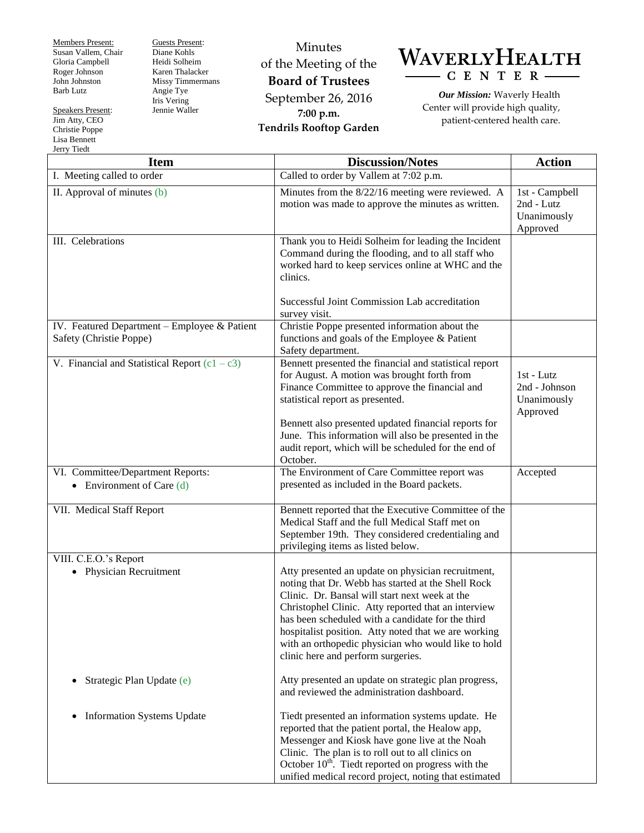Members Present: Susan Vallem, Chair Gloria Campbell Roger Johnson John Johnston Barb Lutz

Speakers Present: Jim Atty, CEO Christie Poppe Lisa Bennett

Guests Present: Diane Kohls Heidi Solheim Karen Thalacker Missy Timmermans Angie Tye Iris Vering Jennie Waller

Minutes of the Meeting of the **Board of Trustees** September 26, 2016 **7:00 p.m. Tendrils Rooftop Garden**



*Our Mission:* Waverly Health Center will provide high quality, patient-centered health care.

| Jerry Tiedt                                                             |                                                                                                                                                                                                                                                                                                                                                                                                                             |                                                         |  |  |
|-------------------------------------------------------------------------|-----------------------------------------------------------------------------------------------------------------------------------------------------------------------------------------------------------------------------------------------------------------------------------------------------------------------------------------------------------------------------------------------------------------------------|---------------------------------------------------------|--|--|
| <b>Item</b>                                                             | <b>Discussion/Notes</b>                                                                                                                                                                                                                                                                                                                                                                                                     | <b>Action</b>                                           |  |  |
| I. Meeting called to order                                              | Called to order by Vallem at 7:02 p.m.                                                                                                                                                                                                                                                                                                                                                                                      |                                                         |  |  |
| II. Approval of minutes (b)                                             | Minutes from the 8/22/16 meeting were reviewed. A<br>motion was made to approve the minutes as written.                                                                                                                                                                                                                                                                                                                     | 1st - Campbell<br>2nd - Lutz<br>Unanimously<br>Approved |  |  |
| III. Celebrations                                                       | Thank you to Heidi Solheim for leading the Incident<br>Command during the flooding, and to all staff who<br>worked hard to keep services online at WHC and the<br>clinics.<br>Successful Joint Commission Lab accreditation<br>survey visit.                                                                                                                                                                                |                                                         |  |  |
| IV. Featured Department - Employee & Patient<br>Safety (Christie Poppe) | Christie Poppe presented information about the<br>functions and goals of the Employee & Patient<br>Safety department.                                                                                                                                                                                                                                                                                                       |                                                         |  |  |
| V. Financial and Statistical Report $(c1 - c3)$                         | Bennett presented the financial and statistical report<br>for August. A motion was brought forth from<br>Finance Committee to approve the financial and<br>statistical report as presented.<br>Bennett also presented updated financial reports for<br>June. This information will also be presented in the<br>audit report, which will be scheduled for the end of<br>October.                                             | 1st - Lutz<br>2nd - Johnson<br>Unanimously<br>Approved  |  |  |
| VI. Committee/Department Reports:<br>Environment of Care (d)            | The Environment of Care Committee report was<br>presented as included in the Board packets.                                                                                                                                                                                                                                                                                                                                 | Accepted                                                |  |  |
| VII. Medical Staff Report                                               | Bennett reported that the Executive Committee of the<br>Medical Staff and the full Medical Staff met on<br>September 19th. They considered credentialing and<br>privileging items as listed below.                                                                                                                                                                                                                          |                                                         |  |  |
| VIII. C.E.O.'s Report<br>• Physician Recruitment                        | Atty presented an update on physician recruitment,<br>noting that Dr. Webb has started at the Shell Rock<br>Clinic. Dr. Bansal will start next week at the<br>Christophel Clinic. Atty reported that an interview<br>has been scheduled with a candidate for the third<br>hospitalist position. Atty noted that we are working<br>with an orthopedic physician who would like to hold<br>clinic here and perform surgeries. |                                                         |  |  |
| Strategic Plan Update (e)<br>$\bullet$                                  | Atty presented an update on strategic plan progress,<br>and reviewed the administration dashboard.                                                                                                                                                                                                                                                                                                                          |                                                         |  |  |
| <b>Information Systems Update</b>                                       | Tiedt presented an information systems update. He<br>reported that the patient portal, the Healow app,<br>Messenger and Kiosk have gone live at the Noah<br>Clinic. The plan is to roll out to all clinics on<br>October $10th$ . Tiedt reported on progress with the<br>unified medical record project, noting that estimated                                                                                              |                                                         |  |  |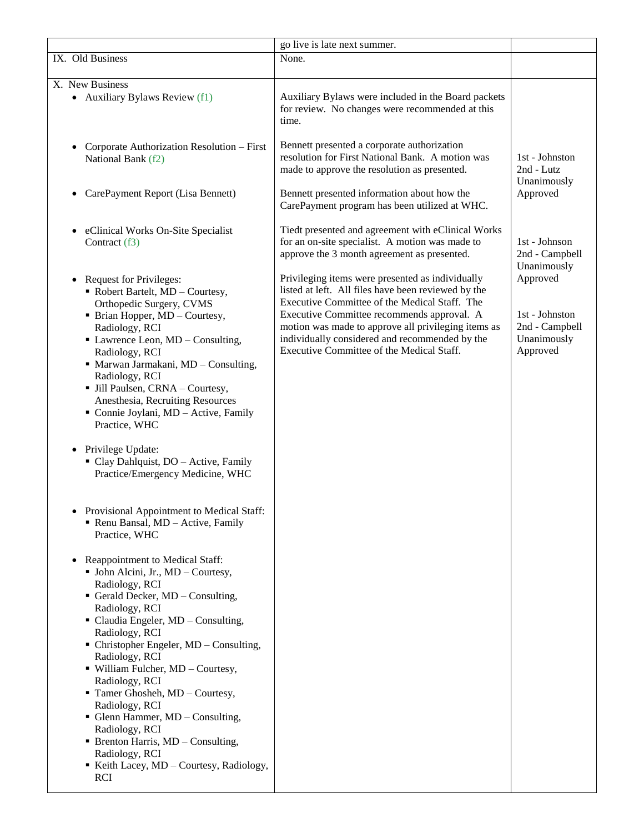|                                                                                                                                                                                                                                                                                                                                                                                                                                                                                                                                                                                                                                 | go live is late next summer.                                                                                                                                                                                                                                                                                                                                 |                                                                         |
|---------------------------------------------------------------------------------------------------------------------------------------------------------------------------------------------------------------------------------------------------------------------------------------------------------------------------------------------------------------------------------------------------------------------------------------------------------------------------------------------------------------------------------------------------------------------------------------------------------------------------------|--------------------------------------------------------------------------------------------------------------------------------------------------------------------------------------------------------------------------------------------------------------------------------------------------------------------------------------------------------------|-------------------------------------------------------------------------|
| IX. Old Business                                                                                                                                                                                                                                                                                                                                                                                                                                                                                                                                                                                                                | None.                                                                                                                                                                                                                                                                                                                                                        |                                                                         |
|                                                                                                                                                                                                                                                                                                                                                                                                                                                                                                                                                                                                                                 |                                                                                                                                                                                                                                                                                                                                                              |                                                                         |
| X. New Business<br>• Auxiliary Bylaws Review (f1)                                                                                                                                                                                                                                                                                                                                                                                                                                                                                                                                                                               | Auxiliary Bylaws were included in the Board packets<br>for review. No changes were recommended at this<br>time.                                                                                                                                                                                                                                              |                                                                         |
| Corporate Authorization Resolution - First<br>National Bank (f2)                                                                                                                                                                                                                                                                                                                                                                                                                                                                                                                                                                | Bennett presented a corporate authorization<br>resolution for First National Bank. A motion was<br>made to approve the resolution as presented.                                                                                                                                                                                                              | 1st - Johnston<br>2nd - Lutz<br>Unanimously                             |
| CarePayment Report (Lisa Bennett)<br>$\bullet$                                                                                                                                                                                                                                                                                                                                                                                                                                                                                                                                                                                  | Bennett presented information about how the<br>CarePayment program has been utilized at WHC.                                                                                                                                                                                                                                                                 | Approved                                                                |
| eClinical Works On-Site Specialist<br>$\bullet$<br>Contract (f3)                                                                                                                                                                                                                                                                                                                                                                                                                                                                                                                                                                | Tiedt presented and agreement with eClinical Works<br>for an on-site specialist. A motion was made to<br>approve the 3 month agreement as presented.                                                                                                                                                                                                         | 1st - Johnson<br>2nd - Campbell<br>Unanimously                          |
| <b>Request for Privileges:</b><br>$\bullet$<br>• Robert Bartelt, MD - Courtesy,<br>Orthopedic Surgery, CVMS<br>• Brian Hopper, MD - Courtesy,<br>Radiology, RCI<br>• Lawrence Leon, MD - Consulting,<br>Radiology, RCI<br>· Marwan Jarmakani, MD - Consulting,<br>Radiology, RCI<br>• Jill Paulsen, CRNA - Courtesy,<br>Anesthesia, Recruiting Resources<br>Connie Joylani, MD - Active, Family<br>Practice, WHC<br>Privilege Update:<br>$\bullet$<br>Clay Dahlquist, DO - Active, Family<br>Practice/Emergency Medicine, WHC<br>Provisional Appointment to Medical Staff:<br>Renu Bansal, MD - Active, Family<br>Practice, WHC | Privileging items were presented as individually<br>listed at left. All files have been reviewed by the<br>Executive Committee of the Medical Staff. The<br>Executive Committee recommends approval. A<br>motion was made to approve all privileging items as<br>individually considered and recommended by the<br>Executive Committee of the Medical Staff. | Approved<br>1st - Johnston<br>2nd - Campbell<br>Unanimously<br>Approved |
| Reappointment to Medical Staff:<br>• John Alcini, Jr., MD – Courtesy,<br>Radiology, RCI<br>Gerald Decker, MD - Consulting,<br>Radiology, RCI<br>• Claudia Engeler, MD - Consulting,<br>Radiology, RCI<br>• Christopher Engeler, MD - Consulting,<br>Radiology, RCI<br>· William Fulcher, MD - Courtesy,<br>Radiology, RCI<br>Tamer Ghosheh, MD - Courtesy,<br>Radiology, RCI<br>• Glenn Hammer, MD - Consulting,<br>Radiology, RCI<br>$\blacksquare$ Brenton Harris, MD – Consulting,<br>Radiology, RCI<br>Keith Lacey, MD - Courtesy, Radiology,<br><b>RCI</b>                                                                 |                                                                                                                                                                                                                                                                                                                                                              |                                                                         |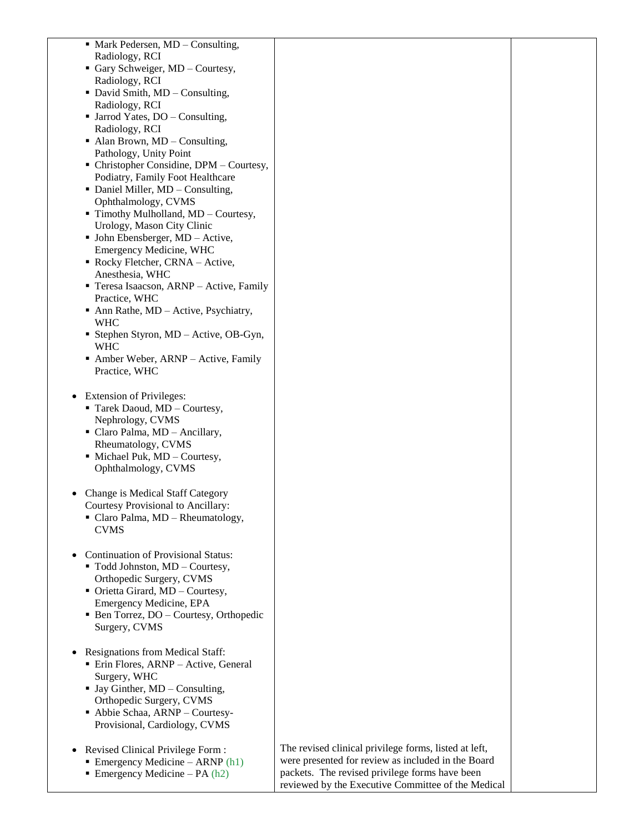| • Mark Pedersen, MD - Consulting,                    |                                                       |  |
|------------------------------------------------------|-------------------------------------------------------|--|
| Radiology, RCI                                       |                                                       |  |
| • Gary Schweiger, MD – Courtesy,                     |                                                       |  |
| Radiology, RCI                                       |                                                       |  |
| • David Smith, MD - Consulting,                      |                                                       |  |
|                                                      |                                                       |  |
| Radiology, RCI                                       |                                                       |  |
| • Jarrod Yates, DO – Consulting,                     |                                                       |  |
| Radiology, RCI                                       |                                                       |  |
| $\blacksquare$ Alan Brown, MD – Consulting,          |                                                       |  |
| Pathology, Unity Point                               |                                                       |  |
| • Christopher Considine, DPM – Courtesy,             |                                                       |  |
| Podiatry, Family Foot Healthcare                     |                                                       |  |
| • Daniel Miller, MD - Consulting,                    |                                                       |  |
| Ophthalmology, CVMS                                  |                                                       |  |
| • Timothy Mulholland, MD - Courtesy,                 |                                                       |  |
| Urology, Mason City Clinic                           |                                                       |  |
| • John Ebensberger, MD - Active,                     |                                                       |  |
| Emergency Medicine, WHC                              |                                                       |  |
| Rocky Fletcher, CRNA - Active,                       |                                                       |  |
| Anesthesia, WHC                                      |                                                       |  |
| Teresa Isaacson, ARNP - Active, Family               |                                                       |  |
| Practice, WHC                                        |                                                       |  |
| $\blacksquare$ Ann Rathe, MD – Active, Psychiatry,   |                                                       |  |
| <b>WHC</b>                                           |                                                       |  |
| Stephen Styron, MD - Active, OB-Gyn,                 |                                                       |  |
| <b>WHC</b>                                           |                                                       |  |
| Amber Weber, ARNP - Active, Family                   |                                                       |  |
| Practice, WHC                                        |                                                       |  |
|                                                      |                                                       |  |
|                                                      |                                                       |  |
| <b>Extension of Privileges:</b><br>٠                 |                                                       |  |
| Tarek Daoud, MD - Courtesy,                          |                                                       |  |
| Nephrology, CVMS                                     |                                                       |  |
| • Claro Palma, MD - Ancillary,                       |                                                       |  |
| Rheumatology, CVMS                                   |                                                       |  |
| • Michael Puk, MD - Courtesy,                        |                                                       |  |
| Ophthalmology, CVMS                                  |                                                       |  |
|                                                      |                                                       |  |
| Change is Medical Staff Category                     |                                                       |  |
| <b>Courtesy Provisional to Ancillary:</b>            |                                                       |  |
| • Claro Palma, MD - Rheumatology,                    |                                                       |  |
| <b>CVMS</b>                                          |                                                       |  |
|                                                      |                                                       |  |
| <b>Continuation of Provisional Status:</b>           |                                                       |  |
| • Todd Johnston, MD - Courtesy,                      |                                                       |  |
| Orthopedic Surgery, CVMS                             |                                                       |  |
| • Orietta Girard, MD - Courtesy,                     |                                                       |  |
|                                                      |                                                       |  |
| Emergency Medicine, EPA                              |                                                       |  |
| • Ben Torrez, DO – Courtesy, Orthopedic              |                                                       |  |
| Surgery, CVMS                                        |                                                       |  |
|                                                      |                                                       |  |
| <b>Resignations from Medical Staff:</b><br>$\bullet$ |                                                       |  |
| Erin Flores, ARNP - Active, General                  |                                                       |  |
| Surgery, WHC                                         |                                                       |  |
| $\blacksquare$ Jay Ginther, MD – Consulting,         |                                                       |  |
| Orthopedic Surgery, CVMS                             |                                                       |  |
| Abbie Schaa, ARNP - Courtesy-                        |                                                       |  |
| Provisional, Cardiology, CVMS                        |                                                       |  |
|                                                      |                                                       |  |
| Revised Clinical Privilege Form:<br>$\bullet$        | The revised clinical privilege forms, listed at left, |  |
| Emergency Medicine - ARNP $(h1)$                     | were presented for review as included in the Board    |  |
| Emergency Medicine – PA $(h2)$                       | packets. The revised privilege forms have been        |  |
|                                                      | reviewed by the Executive Committee of the Medical    |  |